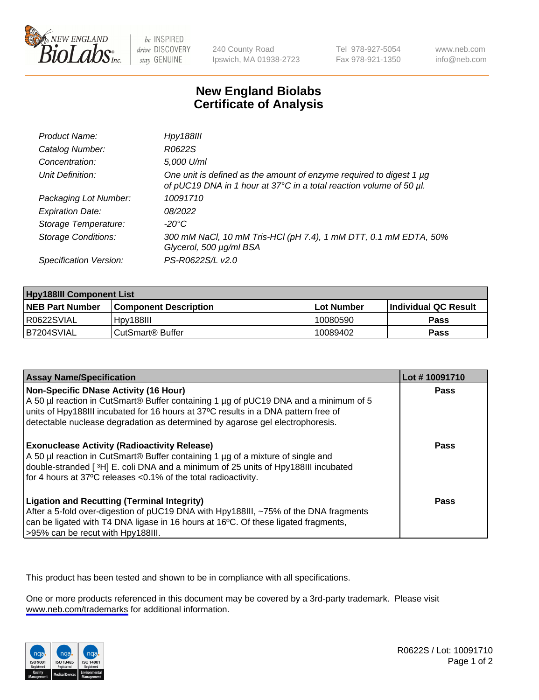

be INSPIRED drive DISCOVERY stay GENUINE

240 County Road Ipswich, MA 01938-2723 Tel 978-927-5054 Fax 978-921-1350

www.neb.com info@neb.com

## **New England Biolabs Certificate of Analysis**

| Product Name:              | <b>Hpy188III</b>                                                                                                                                |
|----------------------------|-------------------------------------------------------------------------------------------------------------------------------------------------|
| Catalog Number:            | R0622S                                                                                                                                          |
| Concentration:             | 5,000 U/ml                                                                                                                                      |
| Unit Definition:           | One unit is defined as the amount of enzyme required to digest 1 $\mu$ g<br>of pUC19 DNA in 1 hour at 37°C in a total reaction volume of 50 µl. |
| Packaging Lot Number:      | 10091710                                                                                                                                        |
| <b>Expiration Date:</b>    | 08/2022                                                                                                                                         |
| Storage Temperature:       | $-20^{\circ}$ C                                                                                                                                 |
| <b>Storage Conditions:</b> | 300 mM NaCl, 10 mM Tris-HCl (pH 7.4), 1 mM DTT, 0.1 mM EDTA, 50%<br>Glycerol, 500 µg/ml BSA                                                     |
| Specification Version:     | PS-R0622S/L v2.0                                                                                                                                |

| <b>Hpy188III Component List</b> |                         |             |                             |  |
|---------------------------------|-------------------------|-------------|-----------------------------|--|
| <b>NEB Part Number</b>          | l Component Description | ⊺Lot Number | <b>Individual QC Result</b> |  |
| I R0622SVIAL                    | Hpv188III               | 10080590    | Pass                        |  |
| B7204SVIAL                      | l CutSmart® Buffer      | 10089402    | Pass                        |  |

| <b>Assay Name/Specification</b>                                                                                                                                                                                                                                                                             | Lot #10091710 |
|-------------------------------------------------------------------------------------------------------------------------------------------------------------------------------------------------------------------------------------------------------------------------------------------------------------|---------------|
| <b>Non-Specific DNase Activity (16 Hour)</b><br>A 50 µl reaction in CutSmart® Buffer containing 1 µg of pUC19 DNA and a minimum of 5<br>units of Hpy188III incubated for 16 hours at 37°C results in a DNA pattern free of<br>detectable nuclease degradation as determined by agarose gel electrophoresis. | Pass          |
| <b>Exonuclease Activity (Radioactivity Release)</b><br>A 50 µl reaction in CutSmart® Buffer containing 1 µg of a mixture of single and<br>double-stranded [3H] E. coli DNA and a minimum of 25 units of Hpy188III incubated<br>for 4 hours at 37°C releases <0.1% of the total radioactivity.               | Pass          |
| <b>Ligation and Recutting (Terminal Integrity)</b><br>After a 5-fold over-digestion of pUC19 DNA with Hpy188III, ~75% of the DNA fragments<br>can be ligated with T4 DNA ligase in 16 hours at 16°C. Of these ligated fragments,<br>>95% can be recut with Hpy188III.                                       | Pass          |

This product has been tested and shown to be in compliance with all specifications.

One or more products referenced in this document may be covered by a 3rd-party trademark. Please visit <www.neb.com/trademarks>for additional information.